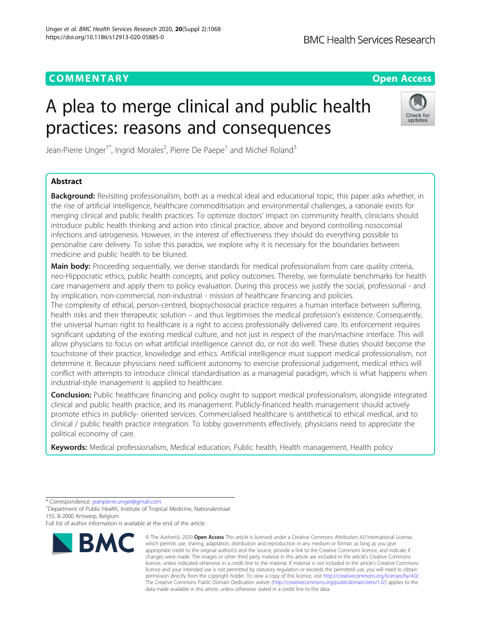## **COMMENTARY COMMENTARY Open Access**

# A plea to merge clinical and public health practices: reasons and consequences



Jean-Pierre Unger<sup>1\*</sup>, Ingrid Morales<sup>2</sup>, Pierre De Paepe<sup>1</sup> and Michel Roland<sup>3</sup>

## Abstract

Background: Revisiting professionalism, both as a medical ideal and educational topic, this paper asks whether, in the rise of artificial intelligence, healthcare commoditisation and environmental challenges, a rationale exists for merging clinical and public health practices. To optimize doctors' impact on community health, clinicians should introduce public health thinking and action into clinical practice, above and beyond controlling nosocomial infections and iatrogenesis. However, in the interest of effectiveness they should do everything possible to personalise care delivery. To solve this paradox, we explore why it is necessary for the boundaries between medicine and public health to be blurred.

Main body: Proceeding sequentially, we derive standards for medical professionalism from care quality criteria, neo-Hippocratic ethics, public health concepts, and policy outcomes. Thereby, we formulate benchmarks for health care management and apply them to policy evaluation. During this process we justify the social, professional - and by implication, non-commercial, non-industrial - mission of healthcare financing and policies.

The complexity of ethical, person-centred, biopsychosocial practice requires a human interface between suffering, health risks and their therapeutic solution – and thus legitimises the medical profession's existence. Consequently, the universal human right to healthcare is a right to access professionally delivered care. Its enforcement requires significant updating of the existing medical culture, and not just in respect of the man/machine interface. This will allow physicians to focus on what artificial intelligence cannot do, or not do well. These duties should become the touchstone of their practice, knowledge and ethics. Artificial intelligence must support medical professionalism, not determine it. Because physicians need sufficient autonomy to exercise professional judgement, medical ethics will conflict with attempts to introduce clinical standardisation as a managerial paradigm, which is what happens when industrial-style management is applied to healthcare.

**Conclusion:** Public healthcare financing and policy ought to support medical professionalism, alongside integrated clinical and public health practice, and its management. Publicly-financed health management should actively promote ethics in publicly- oriented services. Commercialised healthcare is antithetical to ethical medical, and to clinical / public health practice integration. To lobby governments effectively, physicians need to appreciate the political economy of care.

Keywords: Medical professionalism, Medical education, Public health, Health management, Health policy

Full list of author information is available at the end of the article



<sup>©</sup> The Author(s), 2020 **Open Access** This article is licensed under a Creative Commons Attribution 4.0 International License, which permits use, sharing, adaptation, distribution and reproduction in any medium or format, as long as you give appropriate credit to the original author(s) and the source, provide a link to the Creative Commons licence, and indicate if changes were made. The images or other third party material in this article are included in the article's Creative Commons licence, unless indicated otherwise in a credit line to the material. If material is not included in the article's Creative Commons licence and your intended use is not permitted by statutory regulation or exceeds the permitted use, you will need to obtain permission directly from the copyright holder. To view a copy of this licence, visit [http://creativecommons.org/licenses/by/4.0/.](http://creativecommons.org/licenses/by/4.0/) The Creative Commons Public Domain Dedication waiver [\(http://creativecommons.org/publicdomain/zero/1.0/](http://creativecommons.org/publicdomain/zero/1.0/)) applies to the data made available in this article, unless otherwise stated in a credit line to the data.

<sup>\*</sup> Correspondence: [jeanpierre.unger@gmail.com](mailto:jeanpierre.unger@gmail.com) <sup>1</sup>

<sup>&</sup>lt;sup>1</sup> Department of Public Health, Institute of Tropical Medicine, Nationalestraat 155, B-2000 Antwerp, Belgium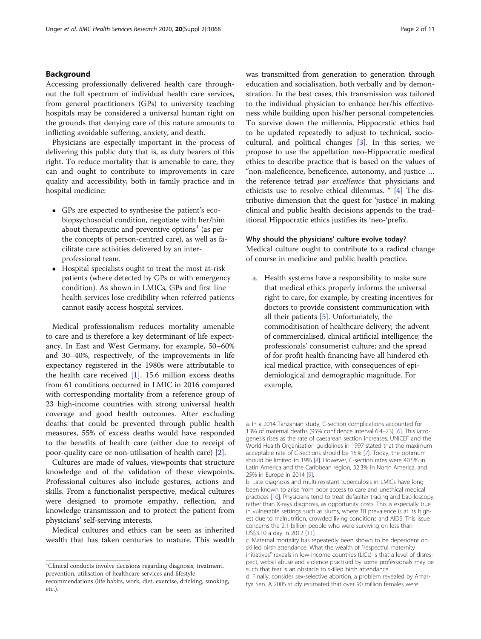## Background

Accessing professionally delivered health care throughout the full spectrum of individual health care services, from general practitioners (GPs) to university teaching hospitals may be considered a universal human right on the grounds that denying care of this nature amounts to inflicting avoidable suffering, anxiety, and death.

Physicians are especially important in the process of delivering this public duty that is, as duty bearers of this right. To reduce mortality that is amenable to care, they can and ought to contribute to improvements in care quality and accessibility, both in family practice and in hospital medicine:

- GPs are expected to synthesise the patient's ecobiopsychosocial condition, negotiate with her/him about therapeutic and preventive options<sup>1</sup> (as per the concepts of person-centred care), as well as facilitate care activities delivered by an interprofessional team.
- Hospital specialists ought to treat the most at-risk patients (where detected by GPs or with emergency condition). As shown in LMICs, GPs and first line health services lose credibility when referred patients cannot easily access hospital services.

Medical professionalism reduces mortality amenable to care and is therefore a key determinant of life expectancy. In East and West Germany, for example, 50–60% and 30–40%, respectively, of the improvements in life expectancy registered in the 1980s were attributable to the health care received [\[1](#page-9-0)]. 15.6 million excess deaths from 61 conditions occurred in LMIC in 2016 compared with corresponding mortality from a reference group of 23 high-income countries with strong universal health coverage and good health outcomes. After excluding deaths that could be prevented through public health measures, 55% of excess deaths would have responded to the benefits of health care (either due to receipt of poor-quality care or non-utilisation of health care) [[2\]](#page-9-0).

Cultures are made of values, viewpoints that structure knowledge and of the validation of these viewpoints. Professional cultures also include gestures, actions and skills. From a functionalist perspective, medical cultures were designed to promote empathy, reflection, and knowledge transmission and to protect the patient from physicians' self-serving interests.

Medical cultures and ethics can be seen as inherited wealth that has taken centuries to mature. This wealth

was transmitted from generation to generation through education and socialisation, both verbally and by demonstration. In the best cases, this transmission was tailored to the individual physician to enhance her/his effectiveness while building upon his/her personal competencies. To survive down the millennia, Hippocratic ethics had to be updated repeatedly to adjust to technical, sociocultural, and political changes [\[3](#page-9-0)]. In this series, we propose to use the appellation neo-Hippocratic medical ethics to describe practice that is based on the values of "non-maleficence, beneficence, autonomy, and justice … the reference tetrad par excellence that physicians and ethicists use to resolve ethical dilemmas. " [\[4](#page-9-0)] The distributive dimension that the quest for 'justice' in making clinical and public health decisions appends to the traditional Hippocratic ethics justifies its 'neo-'prefix.

## Why should the physicians' culture evolve today?

Medical culture ought to contribute to a radical change of course in medicine and public health practice.

a. Health systems have a responsibility to make sure that medical ethics properly informs the universal right to care, for example, by creating incentives for doctors to provide consistent communication with all their patients [[5\]](#page-9-0). Unfortunately, the commoditisation of healthcare delivery; the advent of commercialised, clinical artificial intelligence; the professionals' consumerist culture; and the spread of for-profit health financing have all hindered ethical medical practice, with consequences of epidemiological and demographic magnitude. For example,

d. Finally, consider sex-selective abortion, a problem revealed by Amartya Sen. A 2005 study estimated that over 90 million females were

<sup>&</sup>lt;sup>1</sup>Clinical conducts involve decisions regarding diagnosis, treatment, prevention, utilisation of healthcare services and lifestyle

recommendations (life habits, work, diet, exercise, drinking, smoking, etc.).

a. In a 2014 Tanzanian study, C-section complications accounted for 13% of maternal deaths (95% confidence interval 6.4–23) [[6\]](#page-9-0). This iatrogenesis rises as the rate of caesarean section increases. UNICEF and the World Health Organisation guidelines in 1997 stated that the maximum acceptable rate of C-sections should be 15% [\[7\]](#page-9-0). Today, the optimum should be limited to 19% [[8](#page-10-0)]. However, C-section rates were 40.5% in Latin America and the Caribbean region, 32.3% in North America, and 25% in Europe in 2014 [[9\]](#page-10-0).

b. Late diagnosis and multi-resistant tuberculosis in LMICs have long been known to arise from poor access to care and unethical medical practices [\[10\]](#page-10-0). Physicians tend to treat defaulter tracing and bacilloscopy, rather than X-rays diagnosis, as opportunity costs. This is especially true in vulnerable settings such as slums, where TB prevalence is at its highest due to malnutrition, crowded living conditions and AIDS. This issue concerns the 2.1 billion people who were surviving on less than US\$3.10 a day in 2012 [\[11\]](#page-10-0).

c. Maternal mortality has repeatedly been shown to be dependent on skilled birth attendance. What the wealth of "respectful maternity initiatives" reveals in low-income countries (LICs) is that a level of disrespect, verbal abuse and violence practised by some professionals may be such that fear is an obstacle to skilled birth attendance.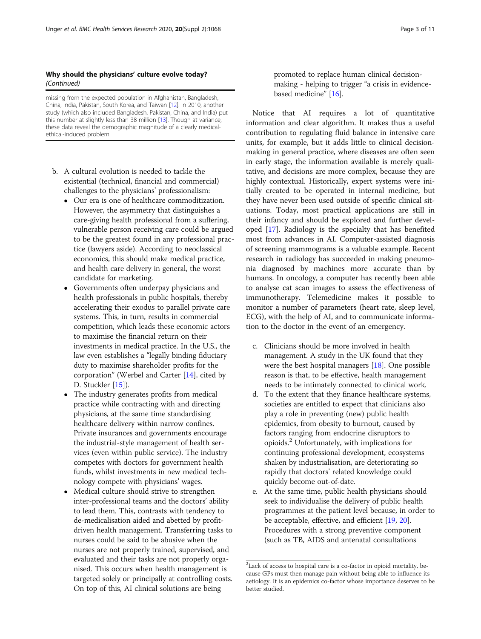## Why should the physicians' culture evolve today? (Continued)

missing from the expected population in Afghanistan, Bangladesh, China, India, Pakistan, South Korea, and Taiwan [\[12\]](#page-10-0). In 2010, another study (which also included Bangladesh, Pakistan, China, and India) put this number at slightly less than 38 million [[13](#page-10-0)]. Though at variance, these data reveal the demographic magnitude of a clearly medicalethical-induced problem.

- b. A cultural evolution is needed to tackle the existential (technical, financial and commercial) challenges to the physicians' professionalism:
	- Our era is one of healthcare commoditization. However, the asymmetry that distinguishes a care-giving health professional from a suffering, vulnerable person receiving care could be argued to be the greatest found in any professional practice (lawyers aside). According to neoclassical economics, this should make medical practice, and health care delivery in general, the worst candidate for marketing.
	- Governments often underpay physicians and health professionals in public hospitals, thereby accelerating their exodus to parallel private care systems. This, in turn, results in commercial competition, which leads these economic actors to maximise the financial return on their investments in medical practice. In the U.S., the law even establishes a "legally binding fiduciary duty to maximise shareholder profits for the corporation" (Werbel and Carter [\[14\]](#page-10-0), cited by D. Stuckler [\[15\]](#page-10-0)).
	- The industry generates profits from medical practice while contracting with and directing physicians, at the same time standardising healthcare delivery within narrow confines. Private insurances and governments encourage the industrial-style management of health services (even within public service). The industry competes with doctors for government health funds, whilst investments in new medical technology compete with physicians' wages.
	- Medical culture should strive to strengthen inter-professional teams and the doctors' ability to lead them. This, contrasts with tendency to de-medicalisation aided and abetted by profitdriven health management. Transferring tasks to nurses could be said to be abusive when the nurses are not properly trained, supervised, and evaluated and their tasks are not properly organised. This occurs when health management is targeted solely or principally at controlling costs. On top of this, AI clinical solutions are being

promoted to replace human clinical decisionmaking - helping to trigger "a crisis in evidencebased medicine" [[16](#page-10-0)].

Notice that AI requires a lot of quantitative information and clear algorithm. It makes thus a useful contribution to regulating fluid balance in intensive care units, for example, but it adds little to clinical decisionmaking in general practice, where diseases are often seen in early stage, the information available is merely qualitative, and decisions are more complex, because they are highly contextual. Historically, expert systems were initially created to be operated in internal medicine, but they have never been used outside of specific clinical situations. Today, most practical applications are still in their infancy and should be explored and further developed [\[17\]](#page-10-0). Radiology is the specialty that has benefited most from advances in AI. Computer-assisted diagnosis of screening mammograms is a valuable example. Recent research in radiology has succeeded in making pneumonia diagnosed by machines more accurate than by humans. In oncology, a computer has recently been able to analyse cat scan images to assess the effectiveness of immunotherapy. Telemedicine makes it possible to monitor a number of parameters (heart rate, sleep level, ECG), with the help of AI, and to communicate information to the doctor in the event of an emergency.

- c. Clinicians should be more involved in health management. A study in the UK found that they were the best hospital managers [[18\]](#page-10-0). One possible reason is that, to be effective, health management needs to be intimately connected to clinical work.
- d. To the extent that they finance healthcare systems, societies are entitled to expect that clinicians also play a role in preventing (new) public health epidemics, from obesity to burnout, caused by factors ranging from endocrine disruptors to opioids.<sup>2</sup> Unfortunately, with implications for continuing professional development, ecosystems shaken by industrialisation, are deteriorating so rapidly that doctors' related knowledge could quickly become out-of-date.
- e. At the same time, public health physicians should seek to individualise the delivery of public health programmes at the patient level because, in order to be acceptable, effective, and efficient [\[19,](#page-10-0) [20](#page-10-0)]. Procedures with a strong preventive component (such as TB, AIDS and antenatal consultations

<sup>&</sup>lt;sup>2</sup>Lack of access to hospital care is a co-factor in opioid mortality, because GPs must then manage pain without being able to influence its aetiology. It is an epidemics co-factor whose importance deserves to be better studied.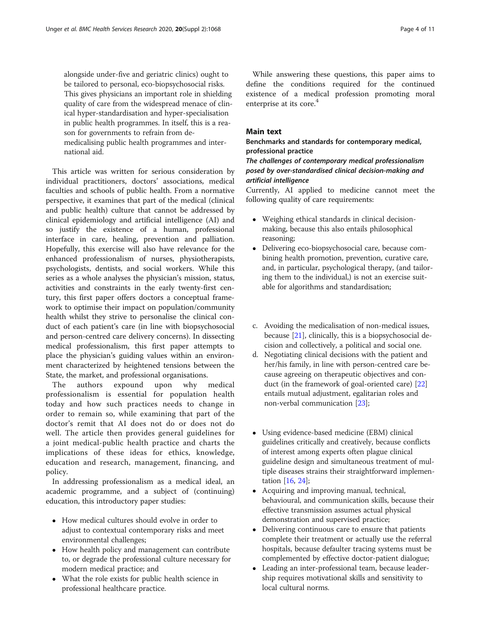alongside under-five and geriatric clinics) ought to be tailored to personal, eco-biopsychosocial risks. This gives physicians an important role in shielding quality of care from the widespread menace of clinical hyper-standardisation and hyper-specialisation in public health programmes. In itself, this is a reason for governments to refrain from demedicalising public health programmes and international aid.

This article was written for serious consideration by individual practitioners, doctors' associations, medical faculties and schools of public health. From a normative perspective, it examines that part of the medical (clinical and public health) culture that cannot be addressed by clinical epidemiology and artificial intelligence (AI) and so justify the existence of a human, professional interface in care, healing, prevention and palliation. Hopefully, this exercise will also have relevance for the enhanced professionalism of nurses, physiotherapists, psychologists, dentists, and social workers. While this series as a whole analyses the physician's mission, status, activities and constraints in the early twenty-first century, this first paper offers doctors a conceptual framework to optimise their impact on population/community health whilst they strive to personalise the clinical conduct of each patient's care (in line with biopsychosocial and person-centred care delivery concerns). In dissecting medical professionalism, this first paper attempts to place the physician's guiding values within an environment characterized by heightened tensions between the State, the market, and professional organisations.

The authors expound upon why medical professionalism is essential for population health today and how such practices needs to change in order to remain so, while examining that part of the doctor's remit that AI does not do or does not do well. The article then provides general guidelines for a joint medical-public health practice and charts the implications of these ideas for ethics, knowledge, education and research, management, financing, and policy.

In addressing professionalism as a medical ideal, an academic programme, and a subject of (continuing) education, this introductory paper studies:

- How medical cultures should evolve in order to adjust to contextual contemporary risks and meet environmental challenges;
- How health policy and management can contribute to, or degrade the professional culture necessary for modern medical practice; and
- What the role exists for public health science in professional healthcare practice.

While answering these questions, this paper aims to define the conditions required for the continued existence of a medical profession promoting moral enterprise at its core.<sup>4</sup>

## Main text

Benchmarks and standards for contemporary medical, professional practice

## The challenges of contemporary medical professionalism posed by over-standardised clinical decision-making and artificial intelligence

Currently, AI applied to medicine cannot meet the following quality of care requirements:

- Weighing ethical standards in clinical decisionmaking, because this also entails philosophical reasoning;
- Delivering eco-biopsychosocial care, because combining health promotion, prevention, curative care, and, in particular, psychological therapy, (and tailoring them to the individual,) is not an exercise suitable for algorithms and standardisation;
- c. Avoiding the medicalisation of non-medical issues, because [[21](#page-10-0)], clinically, this is a biopsychosocial decision and collectively, a political and social one.
- d. Negotiating clinical decisions with the patient and her/his family, in line with person-centred care because agreeing on therapeutic objectives and conduct (in the framework of goal-oriented care) [[22\]](#page-10-0) entails mutual adjustment, egalitarian roles and non-verbal communication [\[23\]](#page-10-0);
- Using evidence-based medicine (EBM) clinical guidelines critically and creatively, because conflicts of interest among experts often plague clinical guideline design and simultaneous treatment of multiple diseases strains their straightforward implementation [\[16,](#page-10-0) [24\]](#page-10-0);
- Acquiring and improving manual, technical, behavioural, and communication skills, because their effective transmission assumes actual physical demonstration and supervised practice;
- Delivering continuous care to ensure that patients complete their treatment or actually use the referral hospitals, because defaulter tracing systems must be complemented by effective doctor-patient dialogue;
- Leading an inter-professional team, because leadership requires motivational skills and sensitivity to local cultural norms.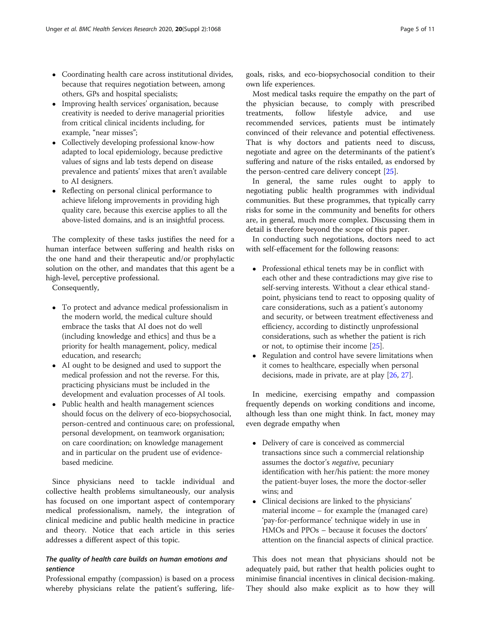- Coordinating health care across institutional divides, because that requires negotiation between, among others, GPs and hospital specialists;
- Improving health services' organisation, because creativity is needed to derive managerial priorities from critical clinical incidents including, for example, "near misses";
- Collectively developing professional know-how adapted to local epidemiology, because predictive values of signs and lab tests depend on disease prevalence and patients' mixes that aren't available to AI designers.
- Reflecting on personal clinical performance to achieve lifelong improvements in providing high quality care, because this exercise applies to all the above-listed domains, and is an insightful process.

The complexity of these tasks justifies the need for a human interface between suffering and health risks on the one hand and their therapeutic and/or prophylactic solution on the other, and mandates that this agent be a high-level, perceptive professional.

Consequently,

- To protect and advance medical professionalism in the modern world, the medical culture should embrace the tasks that AI does not do well (including knowledge and ethics] and thus be a priority for health management, policy, medical education, and research;
- AI ought to be designed and used to support the medical profession and not the reverse. For this, practicing physicians must be included in the development and evaluation processes of AI tools.
- Public health and health management sciences should focus on the delivery of eco-biopsychosocial, person-centred and continuous care; on professional, personal development, on teamwork organisation; on care coordination; on knowledge management and in particular on the prudent use of evidencebased medicine.

Since physicians need to tackle individual and collective health problems simultaneously, our analysis has focused on one important aspect of contemporary medical professionalism, namely, the integration of clinical medicine and public health medicine in practice and theory. Notice that each article in this series addresses a different aspect of this topic.

## The quality of health care builds on human emotions and sentience

Professional empathy (compassion) is based on a process whereby physicians relate the patient's suffering, lifegoals, risks, and eco-biopsychosocial condition to their own life experiences.

Most medical tasks require the empathy on the part of the physician because, to comply with prescribed treatments, follow lifestyle advice, and use recommended services, patients must be intimately convinced of their relevance and potential effectiveness. That is why doctors and patients need to discuss, negotiate and agree on the determinants of the patient's suffering and nature of the risks entailed, as endorsed by the person-centred care delivery concept [\[25\]](#page-10-0).

In general, the same rules ought to apply to negotiating public health programmes with individual communities. But these programmes, that typically carry risks for some in the community and benefits for others are, in general, much more complex. Discussing them in detail is therefore beyond the scope of this paper.

In conducting such negotiations, doctors need to act with self-effacement for the following reasons:

- Professional ethical tenets may be in conflict with each other and these contradictions may give rise to self-serving interests. Without a clear ethical standpoint, physicians tend to react to opposing quality of care considerations, such as a patient's autonomy and security, or between treatment effectiveness and efficiency, according to distinctly unprofessional considerations, such as whether the patient is rich or not, to optimise their income [[25](#page-10-0)].
- Regulation and control have severe limitations when it comes to healthcare, especially when personal decisions, made in private, are at play [\[26,](#page-10-0) [27\]](#page-10-0).

In medicine, exercising empathy and compassion frequently depends on working conditions and income, although less than one might think. In fact, money may even degrade empathy when

- Delivery of care is conceived as commercial transactions since such a commercial relationship assumes the doctor's negative, pecuniary identification with her/his patient: the more money the patient-buyer loses, the more the doctor-seller wins; and
- Clinical decisions are linked to the physicians' material income – for example the (managed care) 'pay-for-performance' technique widely in use in HMOs and PPOs – because it focuses the doctors' attention on the financial aspects of clinical practice.

This does not mean that physicians should not be adequately paid, but rather that health policies ought to minimise financial incentives in clinical decision-making. They should also make explicit as to how they will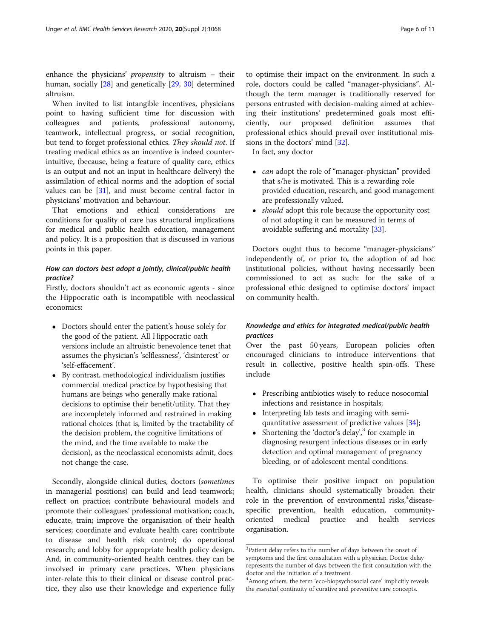enhance the physicians' propensity to altruism – their human, socially [\[28](#page-10-0)] and genetically [[29,](#page-10-0) [30](#page-10-0)] determined altruism.

When invited to list intangible incentives, physicians point to having sufficient time for discussion with colleagues and patients, professional autonomy, teamwork, intellectual progress, or social recognition, but tend to forget professional ethics. They should not. If treating medical ethics as an incentive is indeed counterintuitive, (because, being a feature of quality care, ethics is an output and not an input in healthcare delivery) the assimilation of ethical norms and the adoption of social values can be [[31\]](#page-10-0), and must become central factor in physicians' motivation and behaviour.

That emotions and ethical considerations are conditions for quality of care has structural implications for medical and public health education, management and policy. It is a proposition that is discussed in various points in this paper.

## How can doctors best adopt a jointly, clinical/public health practice?

Firstly, doctors shouldn't act as economic agents - since the Hippocratic oath is incompatible with neoclassical economics:

- Doctors should enter the patient's house solely for the good of the patient. All Hippocratic oath versions include an altruistic benevolence tenet that assumes the physician's 'selflessness', 'disinterest' or 'self-effacement'.
- By contrast, methodological individualism justifies commercial medical practice by hypothesising that humans are beings who generally make rational decisions to optimise their benefit/utility. That they are incompletely informed and restrained in making rational choices (that is, limited by the tractability of the decision problem, the cognitive limitations of the mind, and the time available to make the decision), as the neoclassical economists admit, does not change the case.

Secondly, alongside clinical duties, doctors (sometimes in managerial positions) can build and lead teamwork; reflect on practice; contribute behavioural models and promote their colleagues' professional motivation; coach, educate, train; improve the organisation of their health services; coordinate and evaluate health care; contribute to disease and health risk control; do operational research; and lobby for appropriate health policy design. And, in community-oriented health centres, they can be involved in primary care practices. When physicians inter-relate this to their clinical or disease control practice, they also use their knowledge and experience fully

to optimise their impact on the environment. In such a role, doctors could be called "manager-physicians". Although the term manager is traditionally reserved for persons entrusted with decision-making aimed at achieving their institutions' predetermined goals most efficiently, our proposed definition assumes that professional ethics should prevail over institutional missions in the doctors' mind [[32\]](#page-10-0).

In fact, any doctor

- *can* adopt the role of "manager-physician" provided that s/he is motivated. This is a rewarding role provided education, research, and good management are professionally valued.
- *should* adopt this role because the opportunity cost of not adopting it can be measured in terms of avoidable suffering and mortality [\[33\]](#page-10-0).

Doctors ought thus to become "manager-physicians" independently of, or prior to, the adoption of ad hoc institutional policies, without having necessarily been commissioned to act as such: for the sake of a professional ethic designed to optimise doctors' impact on community health.

## Knowledge and ethics for integrated medical/public health practices

Over the past 50 years, European policies often encouraged clinicians to introduce interventions that result in collective, positive health spin-offs. These include

- Prescribing antibiotics wisely to reduce nosocomial infections and resistance in hospitals;
- Interpreting lab tests and imaging with semiquantitative assessment of predictive values [[34\]](#page-10-0);
- Shortening the 'doctor's delay', <sup>3</sup> for example in diagnosing resurgent infectious diseases or in early detection and optimal management of pregnancy bleeding, or of adolescent mental conditions.

To optimise their positive impact on population health, clinicians should systematically broaden their role in the prevention of environmental risks,<sup>4</sup> diseasespecific prevention, health education, communityoriented medical practice and health services organisation.

<sup>&</sup>lt;sup>3</sup>Patient delay refers to the number of days between the onset of symptoms and the first consultation with a physician. Doctor delay represents the number of days between the first consultation with the doctor and the initiation of a treatment.

<sup>4</sup> Among others, the term 'eco-biopsychosocial care' implicitly reveals the essential continuity of curative and preventive care concepts.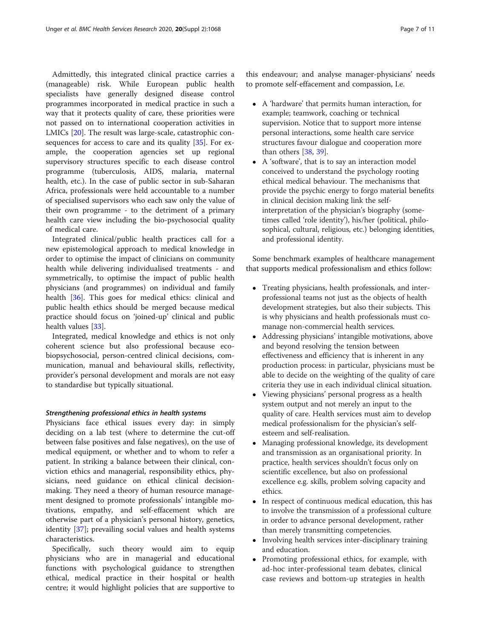Admittedly, this integrated clinical practice carries a (manageable) risk. While European public health specialists have generally designed disease control programmes incorporated in medical practice in such a way that it protects quality of care, these priorities were not passed on to international cooperation activities in LMICs [\[20\]](#page-10-0). The result was large-scale, catastrophic consequences for access to care and its quality [\[35\]](#page-10-0). For example, the cooperation agencies set up regional supervisory structures specific to each disease control programme (tuberculosis, AIDS, malaria, maternal health, etc.). In the case of public sector in sub-Saharan Africa, professionals were held accountable to a number of specialised supervisors who each saw only the value of their own programme - to the detriment of a primary health care view including the bio-psychosocial quality of medical care.

Integrated clinical/public health practices call for a new epistemological approach to medical knowledge in order to optimise the impact of clinicians on community health while delivering individualised treatments - and symmetrically, to optimise the impact of public health physicians (and programmes) on individual and family health [\[36](#page-10-0)]. This goes for medical ethics: clinical and public health ethics should be merged because medical practice should focus on 'joined-up' clinical and public health values [[33\]](#page-10-0).

Integrated, medical knowledge and ethics is not only coherent science but also professional because ecobiopsychosocial, person-centred clinical decisions, communication, manual and behavioural skills, reflectivity, provider's personal development and morals are not easy to standardise but typically situational.

## Strengthening professional ethics in health systems

Physicians face ethical issues every day: in simply deciding on a lab test (where to determine the cut-off between false positives and false negatives), on the use of medical equipment, or whether and to whom to refer a patient. In striking a balance between their clinical, conviction ethics and managerial, responsibility ethics, physicians, need guidance on ethical clinical decisionmaking. They need a theory of human resource management designed to promote professionals' intangible motivations, empathy, and self-effacement which are otherwise part of a physician's personal history, genetics, identity [\[37](#page-10-0)]; prevailing social values and health systems characteristics.

Specifically, such theory would aim to equip physicians who are in managerial and educational functions with psychological guidance to strengthen ethical, medical practice in their hospital or health centre; it would highlight policies that are supportive to this endeavour; and analyse manager-physicians' needs to promote self-effacement and compassion, I.e.

- A 'hardware' that permits human interaction, for example; teamwork, coaching or technical supervision. Notice that to support more intense personal interactions, some health care service structures favour dialogue and cooperation more than others [[38,](#page-10-0) [39](#page-10-0)].
- A 'software', that is to say an interaction model conceived to understand the psychology rooting ethical medical behaviour. The mechanisms that provide the psychic energy to forgo material benefits in clinical decision making link the selfinterpretation of the physician's biography (sometimes called 'role identity'), his/her (political, philosophical, cultural, religious, etc.) belonging identities, and professional identity.

Some benchmark examples of healthcare management that supports medical professionalism and ethics follow:

- Treating physicians, health professionals, and interprofessional teams not just as the objects of health development strategies, but also their subjects. This is why physicians and health professionals must comanage non-commercial health services.
- Addressing physicians' intangible motivations, above and beyond resolving the tension between effectiveness and efficiency that is inherent in any production process: in particular, physicians must be able to decide on the weighting of the quality of care criteria they use in each individual clinical situation.
- Viewing physicians' personal progress as a health system output and not merely an input to the quality of care. Health services must aim to develop medical professionalism for the physician's selfesteem and self-realisation.
- Managing professional knowledge, its development and transmission as an organisational priority. In practice, health services shouldn't focus only on scientific excellence, but also on professional excellence e.g. skills, problem solving capacity and ethics.
- In respect of continuous medical education, this has to involve the transmission of a professional culture in order to advance personal development, rather than merely transmitting competencies.
- Involving health services inter-disciplinary training and education.
- Promoting professional ethics, for example, with ad-hoc inter-professional team debates, clinical case reviews and bottom-up strategies in health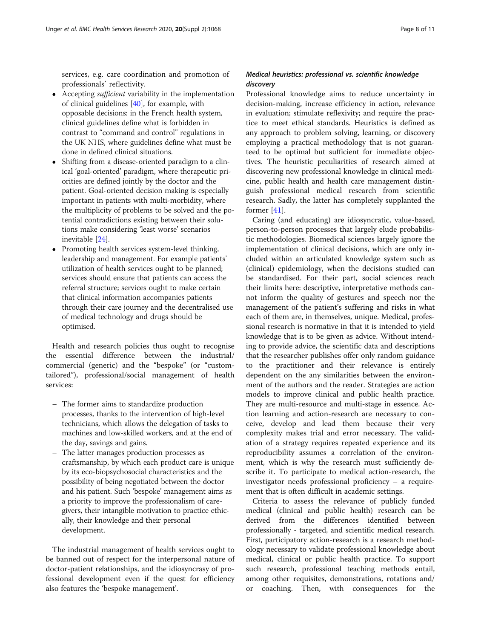services, e.g. care coordination and promotion of professionals' reflectivity.

- Accepting sufficient variability in the implementation of clinical guidelines [[40](#page-10-0)], for example, with opposable decisions: in the French health system, clinical guidelines define what is forbidden in contrast to "command and control" regulations in the UK NHS, where guidelines define what must be done in defined clinical situations.
- Shifting from a disease-oriented paradigm to a clinical 'goal-oriented' paradigm, where therapeutic priorities are defined jointly by the doctor and the patient. Goal-oriented decision making is especially important in patients with multi-morbidity, where the multiplicity of problems to be solved and the potential contradictions existing between their solutions make considering 'least worse' scenarios inevitable [\[24\]](#page-10-0).
- Promoting health services system-level thinking, leadership and management. For example patients' utilization of health services ought to be planned; services should ensure that patients can access the referral structure; services ought to make certain that clinical information accompanies patients through their care journey and the decentralised use of medical technology and drugs should be optimised.

Health and research policies thus ought to recognise the essential difference between the industrial/ commercial (generic) and the "bespoke" (or "customtailored"), professional/social management of health services:

- The former aims to standardize production processes, thanks to the intervention of high-level technicians, which allows the delegation of tasks to machines and low-skilled workers, and at the end of the day, savings and gains.
- The latter manages production processes as craftsmanship, by which each product care is unique by its eco-biopsychosocial characteristics and the possibility of being negotiated between the doctor and his patient. Such 'bespoke' management aims as a priority to improve the professionalism of caregivers, their intangible motivation to practice ethically, their knowledge and their personal development.

The industrial management of health services ought to be banned out of respect for the interpersonal nature of doctor-patient relationships, and the idiosyncrasy of professional development even if the quest for efficiency also features the 'bespoke management'.

## Medical heuristics: professional vs. scientific knowledge discovery

Professional knowledge aims to reduce uncertainty in decision-making, increase efficiency in action, relevance in evaluation; stimulate reflexivity; and require the practice to meet ethical standards. Heuristics is defined as any approach to problem solving, learning, or discovery employing a practical methodology that is not guaranteed to be optimal but sufficient for immediate objectives. The heuristic peculiarities of research aimed at discovering new professional knowledge in clinical medicine, public health and health care management distinguish professional medical research from scientific research. Sadly, the latter has completely supplanted the former [[41\]](#page-10-0).

Caring (and educating) are idiosyncratic, value-based, person-to-person processes that largely elude probabilistic methodologies. Biomedical sciences largely ignore the implementation of clinical decisions, which are only included within an articulated knowledge system such as (clinical) epidemiology, when the decisions studied can be standardised. For their part, social sciences reach their limits here: descriptive, interpretative methods cannot inform the quality of gestures and speech nor the management of the patient's suffering and risks in what each of them are, in themselves, unique. Medical, professional research is normative in that it is intended to yield knowledge that is to be given as advice. Without intending to provide advice, the scientific data and descriptions that the researcher publishes offer only random guidance to the practitioner and their relevance is entirely dependent on the any similarities between the environment of the authors and the reader. Strategies are action models to improve clinical and public health practice. They are multi-resource and multi-stage in essence. Action learning and action-research are necessary to conceive, develop and lead them because their very complexity makes trial and error necessary. The validation of a strategy requires repeated experience and its reproducibility assumes a correlation of the environment, which is why the research must sufficiently describe it. To participate to medical action-research, the investigator needs professional proficiency – a requirement that is often difficult in academic settings.

Criteria to assess the relevance of publicly funded medical (clinical and public health) research can be derived from the differences identified between professionally - targeted, and scientific medical research. First, participatory action-research is a research methodology necessary to validate professional knowledge about medical, clinical or public health practice. To support such research, professional teaching methods entail, among other requisites, demonstrations, rotations and/ or coaching. Then, with consequences for the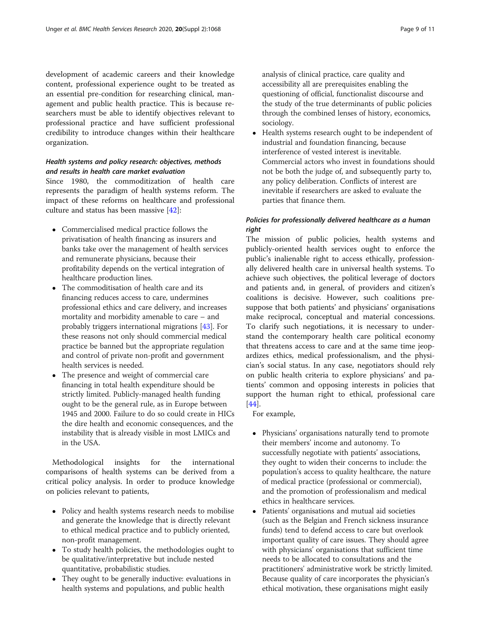development of academic careers and their knowledge content, professional experience ought to be treated as an essential pre-condition for researching clinical, management and public health practice. This is because researchers must be able to identify objectives relevant to professional practice and have sufficient professional credibility to introduce changes within their healthcare organization.

## Health systems and policy research: objectives, methods and results in health care market evaluation

Since 1980, the commoditization of health care represents the paradigm of health systems reform. The impact of these reforms on healthcare and professional culture and status has been massive [\[42](#page-10-0)]:

- Commercialised medical practice follows the privatisation of health financing as insurers and banks take over the management of health services and remunerate physicians, because their profitability depends on the vertical integration of healthcare production lines.
- The commoditisation of health care and its financing reduces access to care, undermines professional ethics and care delivery, and increases mortality and morbidity amenable to care – and probably triggers international migrations [[43](#page-10-0)]. For these reasons not only should commercial medical practice be banned but the appropriate regulation and control of private non-profit and government health services is needed.
- The presence and weight of commercial care financing in total health expenditure should be strictly limited. Publicly-managed health funding ought to be the general rule, as in Europe between 1945 and 2000. Failure to do so could create in HICs the dire health and economic consequences, and the instability that is already visible in most LMICs and in the USA.

Methodological insights for the international comparisons of health systems can be derived from a critical policy analysis. In order to produce knowledge on policies relevant to patients,

- Policy and health systems research needs to mobilise and generate the knowledge that is directly relevant to ethical medical practice and to publicly oriented, non-profit management.
- To study health policies, the methodologies ought to be qualitative/interpretative but include nested quantitative, probabilistic studies.
- They ought to be generally inductive: evaluations in health systems and populations, and public health

analysis of clinical practice, care quality and accessibility all are prerequisites enabling the questioning of official, functionalist discourse and the study of the true determinants of public policies through the combined lenses of history, economics, sociology.

 Health systems research ought to be independent of industrial and foundation financing, because interference of vested interest is inevitable. Commercial actors who invest in foundations should not be both the judge of, and subsequently party to, any policy deliberation. Conflicts of interest are inevitable if researchers are asked to evaluate the parties that finance them.

## Policies for professionally delivered healthcare as a human right

The mission of public policies, health systems and publicly-oriented health services ought to enforce the public's inalienable right to access ethically, professionally delivered health care in universal health systems. To achieve such objectives, the political leverage of doctors and patients and, in general, of providers and citizen's coalitions is decisive. However, such coalitions presuppose that both patients' and physicians' organisations make reciprocal, conceptual and material concessions. To clarify such negotiations, it is necessary to understand the contemporary health care political economy that threatens access to care and at the same time jeopardizes ethics, medical professionalism, and the physician's social status. In any case, negotiators should rely on public health criteria to explore physicians' and patients' common and opposing interests in policies that support the human right to ethical, professional care [[44\]](#page-10-0).

For example,

- Physicians' organisations naturally tend to promote their members' income and autonomy. To successfully negotiate with patients' associations, they ought to widen their concerns to include: the population's access to quality healthcare, the nature of medical practice (professional or commercial), and the promotion of professionalism and medical ethics in healthcare services.
- Patients' organisations and mutual aid societies (such as the Belgian and French sickness insurance funds) tend to defend access to care but overlook important quality of care issues. They should agree with physicians' organisations that sufficient time needs to be allocated to consultations and the practitioners' administrative work be strictly limited. Because quality of care incorporates the physician's ethical motivation, these organisations might easily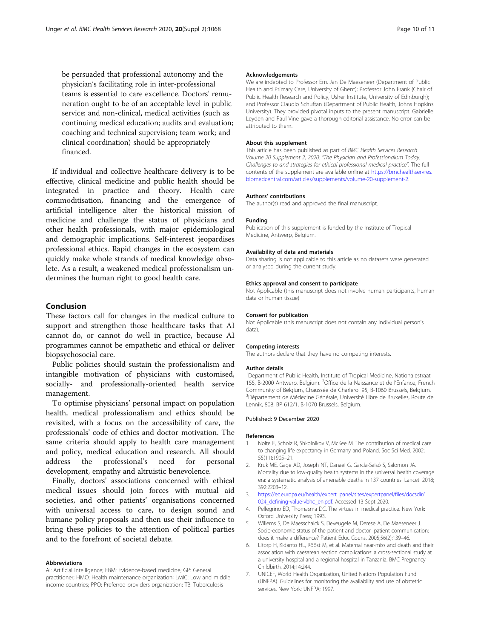<span id="page-9-0"></span>be persuaded that professional autonomy and the physician's facilitating role in inter-professional teams is essential to care excellence. Doctors' remuneration ought to be of an acceptable level in public service; and non-clinical, medical activities (such as continuing medical education; audits and evaluation; coaching and technical supervision; team work; and clinical coordination) should be appropriately financed.

If individual and collective healthcare delivery is to be effective, clinical medicine and public health should be integrated in practice and theory. Health care commoditisation, financing and the emergence of artificial intelligence alter the historical mission of medicine and challenge the status of physicians and other health professionals, with major epidemiological and demographic implications. Self-interest jeopardises professional ethics. Rapid changes in the ecosystem can quickly make whole strands of medical knowledge obsolete. As a result, a weakened medical professionalism undermines the human right to good health care.

## Conclusion

These factors call for changes in the medical culture to support and strengthen those healthcare tasks that AI cannot do, or cannot do well in practice, because AI programmes cannot be empathetic and ethical or deliver biopsychosocial care.

Public policies should sustain the professionalism and intangible motivation of physicians with customised, socially- and professionally-oriented health service management.

To optimise physicians' personal impact on population health, medical professionalism and ethics should be revisited, with a focus on the accessibility of care, the professionals' code of ethics and doctor motivation. The same criteria should apply to health care management and policy, medical education and research. All should address the professional's need for personal development, empathy and altruistic benevolence.

Finally, doctors' associations concerned with ethical medical issues should join forces with mutual aid societies, and other patients' organisations concerned with universal access to care, to design sound and humane policy proposals and then use their influence to bring these policies to the attention of political parties and to the forefront of societal debate.

#### Abbreviations

AI: Artificial intelligence; EBM: Evidence-based medicine; GP: General practitioner; HMO: Health maintenance organization; LMIC: Low and middle income countries; PPO: Preferred providers organization; TB: Tuberculosis

#### Acknowledgements

We are indebted to Professor Em. Jan De Maeseneer (Department of Public Health and Primary Care, University of Ghent); Professor John Frank (Chair of Public Health Research and Policy, Usher Institute, University of Edinburgh); and Professor Claudio Schuftan (Department of Public Health, Johns Hopkins University). They provided pivotal inputs to the present manuscript. Gabrielle Leyden and Paul Vine gave a thorough editorial assistance. No error can be attributed to them.

### About this supplement

This article has been published as part of BMC Health Services Research Volume 20 Supplement 2, 2020: "The Physician and Professionalism Today: Challenges to and strategies for ethical professional medical practice". The full contents of the supplement are available online at [https://bmchealthservres.](https://bmchealthservres.biomedcentral.com/articles/supplements/volume-20-supplement-2) [biomedcentral.com/articles/supplements/volume-20-supplement-2.](https://bmchealthservres.biomedcentral.com/articles/supplements/volume-20-supplement-2)

#### Authors' contributions

The author(s) read and approved the final manuscript.

#### Funding

Publication of this supplement is funded by the Institute of Tropical Medicine, Antwerp, Belgium.

#### Availability of data and materials

Data sharing is not applicable to this article as no datasets were generated or analysed during the current study.

#### Ethics approval and consent to participate

Not Applicable (this manuscript does not involve human participants, human data or human tissue)

### Consent for publication

Not Applicable (this manuscript does not contain any individual person's data).

## Competing interests

The authors declare that they have no competing interests.

#### Author details

<sup>1</sup>Department of Public Health, Institute of Tropical Medicine, Nationalestraat 155, B-2000 Antwerp, Belgium. <sup>2</sup>Office de la Naissance et de l'Enfance, French Community of Belgium, Chaussée de Charleroi 95, B-1060 Brussels, Belgium. <sup>3</sup>Département de Médecine Générale, Université Libre de Bruxelles, Route de Lennik, 808, BP 612/1, B-1070 Brussels, Belgium.

#### Published: 9 December 2020

#### References

- 1. Nolte E, Scholz R, Shkolnikov V, McKee M. The contribution of medical care to changing life expectancy in Germany and Poland. Soc Sci Med. 2002; 55(11):1905–21.
- 2. Kruk ME, Gage AD, Joseph NT, Danaei G, García-Saisó S, Salomon JA. Mortality due to low-quality health systems in the universal health coverage era: a systematic analysis of amenable deaths in 137 countries. Lancet. 2018; 392:2203–12.
- 3. [https://ec.europa.eu/health/expert\\_panel/sites/expertpanel/files/docsdir/](https://ec.europa.eu/health/expert_panel/sites/expertpanel/files/docsdir/024_defining-value-vbhc_en.pdf) [024\\_defining-value-vbhc\\_en.pdf.](https://ec.europa.eu/health/expert_panel/sites/expertpanel/files/docsdir/024_defining-value-vbhc_en.pdf) Accessed 13 Sept 2020.
- 4. Pellegrino ED, Thomasma DC. The virtues in medical practice. New York: Oxford University Press; 1993.
- 5. Willems S, De Maesschalck S, Deveugele M, Derese A, De Maeseneer J. Socio-economic status of the patient and doctor–patient communication: does it make a difference? Patient Educ Couns. 2005;56(2):139–46.
- 6. Litorp H, Kidanto HL, Rööst M, et al. Maternal near-miss and death and their association with caesarean section complications: a cross-sectional study at a university hospital and a regional hospital in Tanzania. BMC Pregnancy Childbirth. 2014;14:244.
- 7. UNICEF, World Health Organization, United Nations Population Fund (UNFPA). Guidelines for monitoring the availability and use of obstetric services. New York: UNFPA; 1997.